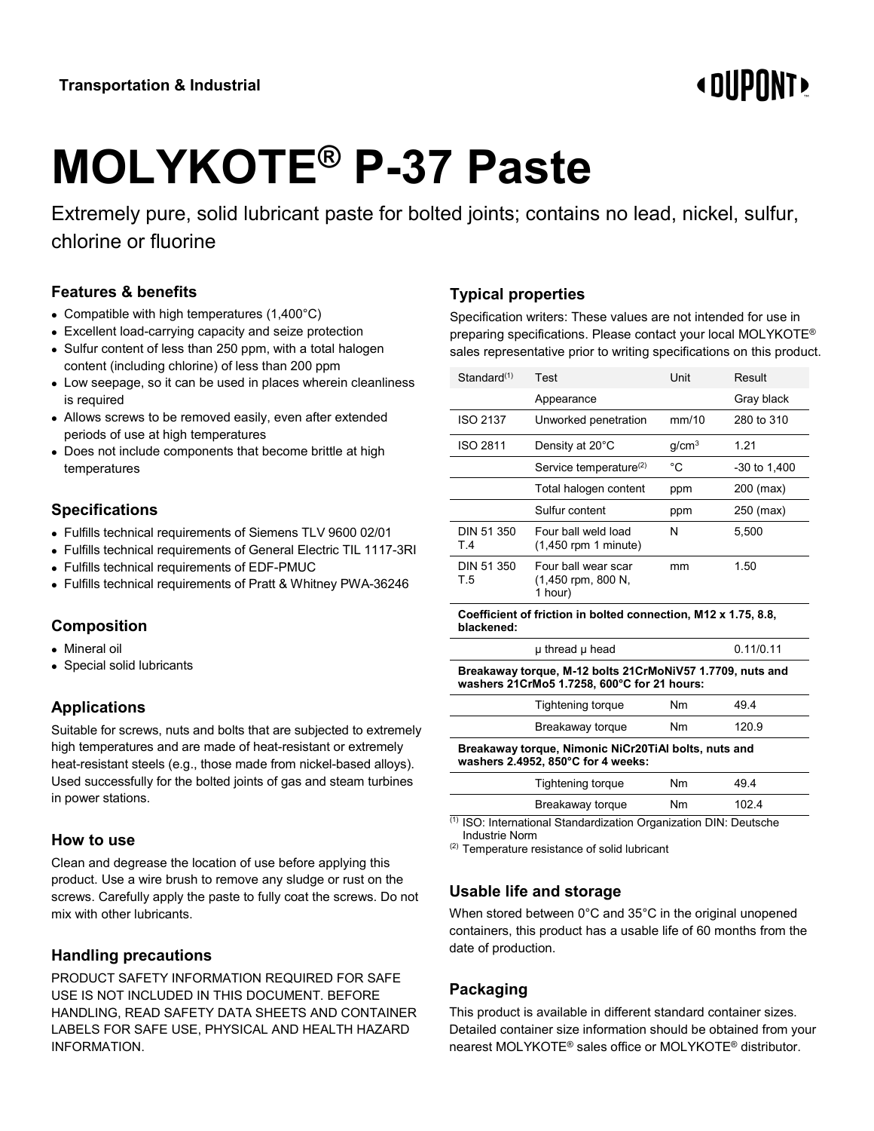## **« DIIPNNT**

# **MOLYKOTE® P-37 Paste**

Extremely pure, solid lubricant paste for bolted joints; contains no lead, nickel, sulfur, chlorine or fluorine

#### **Features & benefits**

- Compatible with high temperatures (1,400°C)
- Excellent load-carrying capacity and seize protection
- Sulfur content of less than 250 ppm, with a total halogen content (including chlorine) of less than 200 ppm
- Low seepage, so it can be used in places wherein cleanliness is required
- Allows screws to be removed easily, even after extended periods of use at high temperatures
- Does not include components that become brittle at high temperatures

#### **Specifications**

- Fulfills technical requirements of Siemens TLV 9600 02/01
- Fulfills technical requirements of General Electric TIL 1117-3RI
- Fulfills technical requirements of EDF-PMUC
- Fulfills technical requirements of Pratt & Whitney PWA-36246

#### **Composition**

- Mineral oil
- Special solid lubricants

#### **Applications**

Suitable for screws, nuts and bolts that are subjected to extremely high temperatures and are made of heat-resistant or extremely heat-resistant steels (e.g., those made from nickel-based alloys). Used successfully for the bolted joints of gas and steam turbines in power stations.

#### **How to use**

Clean and degrease the location of use before applying this product. Use a wire brush to remove any sludge or rust on the screws. Carefully apply the paste to fully coat the screws. Do not mix with other lubricants.

#### **Handling precautions**

PRODUCT SAFETY INFORMATION REQUIRED FOR SAFE USE IS NOT INCLUDED IN THIS DOCUMENT. BEFORE HANDLING, READ SAFETY DATA SHEETS AND CONTAINER LABELS FOR SAFE USE, PHYSICAL AND HEALTH HAZARD INFORMATION.

### **Typical properties**

Specification writers: These values are not intended for use in preparing specifications. Please contact your local MOLYKOTE® sales representative prior to writing specifications on this product.

| Standard <sup>(1)</sup>                               | Test                                                 | Unit              | Result       |  |  |
|-------------------------------------------------------|------------------------------------------------------|-------------------|--------------|--|--|
|                                                       | Appearance                                           |                   | Gray black   |  |  |
| ISO 2137                                              | Unworked penetration                                 | mm/10             | 280 to 310   |  |  |
| ISO 2811                                              | Density at 20°C                                      | q/cm <sup>3</sup> | 1.21         |  |  |
|                                                       | Service temperature <sup>(2)</sup>                   | °C                | -30 to 1,400 |  |  |
|                                                       | Total halogen content                                | ppm               | 200 (max)    |  |  |
|                                                       | Sulfur content                                       | ppm               | 250 (max)    |  |  |
| DIN 51 350<br>T.4                                     | Four ball weld load<br>$(1,450$ rpm 1 minute)        | N                 | 5,500        |  |  |
| DIN 51 350<br>T.5                                     | Four ball wear scar<br>(1,450 rpm, 800 N,<br>1 hour) | mm                | 1.50         |  |  |
| . استفادت استانت به المتابعة ا<br>42.<br><b>BAAQ </b> |                                                      |                   |              |  |  |

#### **Coefficient of friction in bolted connection, M12 x 1.75, 8.8, blackened:**

| <u>p.  o o o p.  o o o</u>                                | ----------- |
|-----------------------------------------------------------|-------------|
| Breakaway torque, M-12 bolts 21CrMoNiV57 1.7709, nuts and |             |
| washers 21CrMo5 1.7258, 600°C for 21 hours:               |             |

μ thread μ head 0.11/0.11

| Tightening torque | Nm | 494   |
|-------------------|----|-------|
| Breakaway torque  | Nm | 120.9 |

**Breakaway torque, Nimonic NiCr20TiAl bolts, nuts and washers 2.4952, 850°C for 4 weeks:**

| Tightening torque | Nm | 49.4  |  |
|-------------------|----|-------|--|
| Breakaway torque  | Nm | 102.4 |  |

(1) ISO: International Standardization Organization DIN: Deutsche Industrie Norm

(2) Temperature resistance of solid lubricant

#### **Usable life and storage**

When stored between 0°C and 35°C in the original unopened containers, this product has a usable life of 60 months from the date of production.

#### **Packaging**

This product is available in different standard container sizes. Detailed container size information should be obtained from your nearest MOLYKOTE® sales office or MOLYKOTE® distributor.